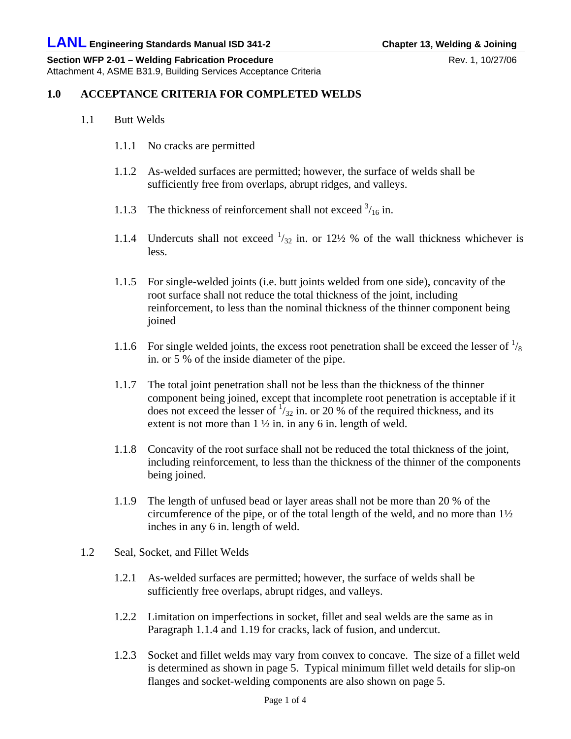**Section WFP 2-01 – Welding Fabrication Procedure** Rev. 1, 10/27/06 Attachment 4, ASME B31.9, Building Services Acceptance Criteria

## **1.0 ACCEPTANCE CRITERIA FOR COMPLETED WELDS**

- 1.1 Butt Welds
	- 1.1.1 No cracks are permitted
	- 1.1.2 As-welded surfaces are permitted; however, the surface of welds shall be sufficiently free from overlaps, abrupt ridges, and valleys.
	- 1.1.3 The thickness of reinforcement shall not exceed  $\frac{3}{16}$  in.
	- 1.1.4 Undercuts shall not exceed  $\frac{1}{32}$  in. or 12½ % of the wall thickness whichever is less.
	- 1.1.5 For single-welded joints (i.e. butt joints welded from one side), concavity of the root surface shall not reduce the total thickness of the joint, including reinforcement, to less than the nominal thickness of the thinner component being joined
	- 1.1.6 For single welded joints, the excess root penetration shall be exceed the lesser of  $\frac{1}{8}$ in. or 5 % of the inside diameter of the pipe.
	- 1.1.7 The total joint penetration shall not be less than the thickness of the thinner component being joined, except that incomplete root penetration is acceptable if it does not exceed the lesser of  $\frac{1}{32}$  in. or 20 % of the required thickness, and its extent is not more than  $1 \frac{1}{2}$  in. in any 6 in. length of weld.
	- 1.1.8 Concavity of the root surface shall not be reduced the total thickness of the joint, including reinforcement, to less than the thickness of the thinner of the components being joined.
	- 1.1.9 The length of unfused bead or layer areas shall not be more than 20 % of the circumference of the pipe, or of the total length of the weld, and no more than  $1\frac{1}{2}$ inches in any 6 in. length of weld.
- 1.2 Seal, Socket, and Fillet Welds
	- 1.2.1 As-welded surfaces are permitted; however, the surface of welds shall be sufficiently free overlaps, abrupt ridges, and valleys.
	- 1.2.2 Limitation on imperfections in socket, fillet and seal welds are the same as in Paragraph 1.1.4 and 1.19 for cracks, lack of fusion, and undercut.
	- 1.2.3 Socket and fillet welds may vary from convex to concave. The size of a fillet weld is determined as shown in page 5. Typical minimum fillet weld details for slip-on flanges and socket-welding components are also shown on page 5.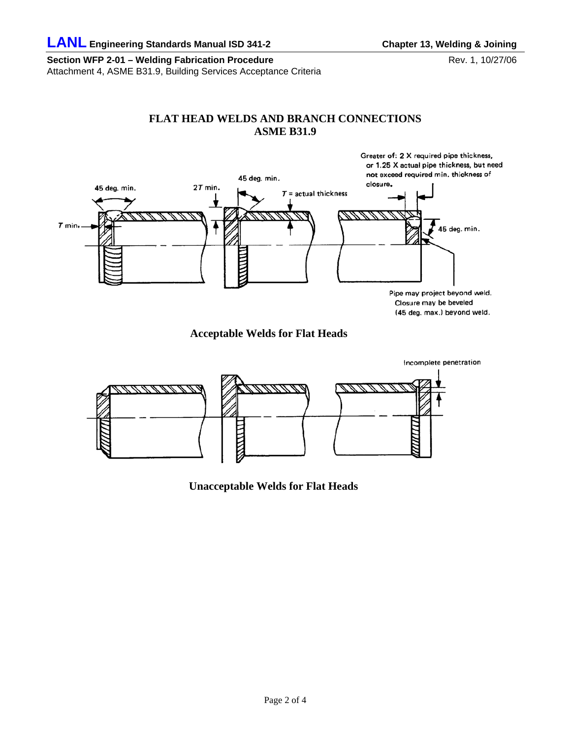**Section WFP 2-01 – Welding Fabrication Procedure** Rev. 1, 10/27/06 Attachment 4, ASME B31.9, Building Services Acceptance Criteria

## **FLAT HEAD WELDS AND BRANCH CONNECTIONS ASME B31.9**



**Acceptable Welds for Flat Heads** 



**Unacceptable Welds for Flat Heads**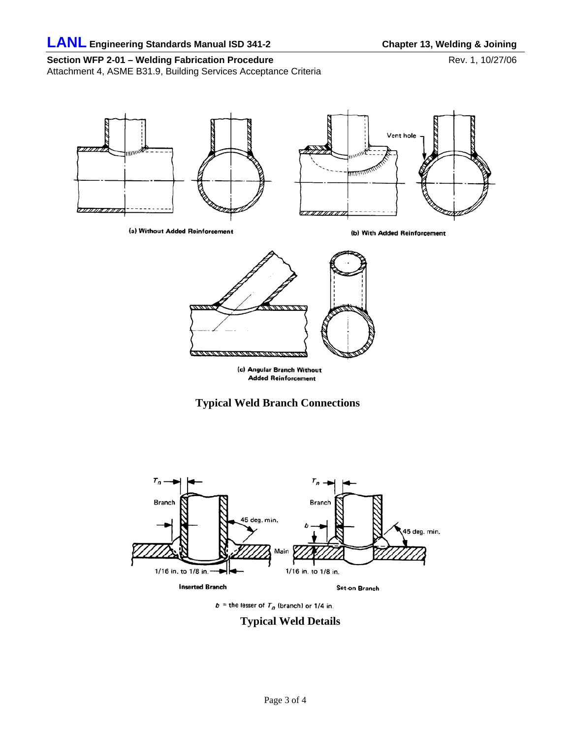Section WFP 2-01 - Welding Fabrication Procedure<br>
Rev. 1, 10/27/06

Attachment 4, ASME B31.9, Building Services Acceptance Criteria









 $b =$  the lesser of  $T_n$  (branch) or 1/4 in.